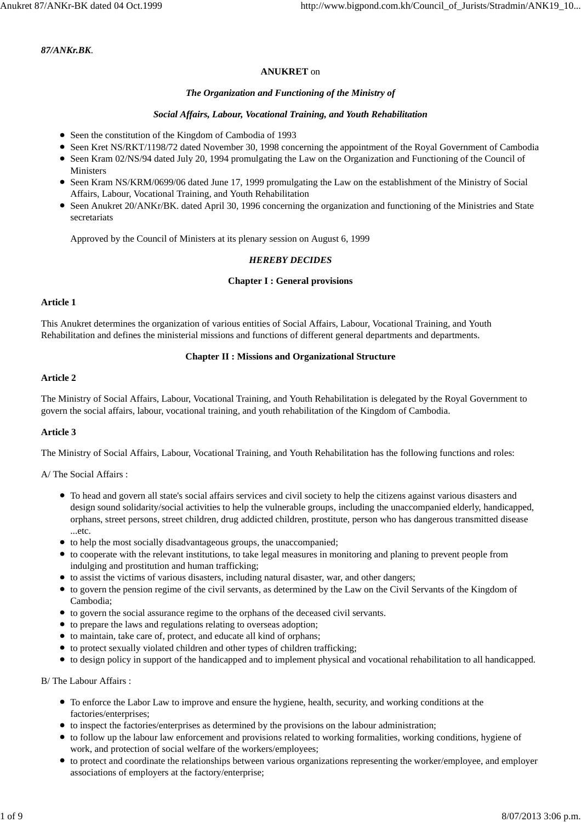### *87/ANKr.BK.*

# **ANUKRET** on

# *The Organization and Functioning of the Ministry of*

# *Social Affairs, Labour, Vocational Training, and Youth Rehabilitation*

- Seen the constitution of the Kingdom of Cambodia of 1993
- Seen Kret NS/RKT/1198/72 dated November 30, 1998 concerning the appointment of the Royal Government of Cambodia
- Seen Kram 02/NS/94 dated July 20, 1994 promulgating the Law on the Organization and Functioning of the Council of **Ministers**
- Seen Kram NS/KRM/0699/06 dated June 17, 1999 promulgating the Law on the establishment of the Ministry of Social Affairs, Labour, Vocational Training, and Youth Rehabilitation
- Seen Anukret 20/ANKr/BK. dated April 30, 1996 concerning the organization and functioning of the Ministries and State secretariats

Approved by the Council of Ministers at its plenary session on August 6, 1999

# *HEREBY DECIDES*

# **Chapter I : General provisions**

# **Article 1**

This Anukret determines the organization of various entities of Social Affairs, Labour, Vocational Training, and Youth Rehabilitation and defines the ministerial missions and functions of different general departments and departments.

# **Chapter II : Missions and Organizational Structure**

# **Article 2**

The Ministry of Social Affairs, Labour, Vocational Training, and Youth Rehabilitation is delegated by the Royal Government to govern the social affairs, labour, vocational training, and youth rehabilitation of the Kingdom of Cambodia.

# **Article 3**

The Ministry of Social Affairs, Labour, Vocational Training, and Youth Rehabilitation has the following functions and roles:

A/ The Social Affairs :

- To head and govern all state's social affairs services and civil society to help the citizens against various disasters and design sound solidarity/social activities to help the vulnerable groups, including the unaccompanied elderly, handicapped, orphans, street persons, street children, drug addicted children, prostitute, person who has dangerous transmitted disease ...etc.
- to help the most socially disadvantageous groups, the unaccompanied;
- to cooperate with the relevant institutions, to take legal measures in monitoring and planing to prevent people from indulging and prostitution and human trafficking;
- to assist the victims of various disasters, including natural disaster, war, and other dangers;
- to govern the pension regime of the civil servants, as determined by the Law on the Civil Servants of the Kingdom of Cambodia;
- to govern the social assurance regime to the orphans of the deceased civil servants.
- to prepare the laws and regulations relating to overseas adoption;
- to maintain, take care of, protect, and educate all kind of orphans;
- to protect sexually violated children and other types of children trafficking;
- to design policy in support of the handicapped and to implement physical and vocational rehabilitation to all handicapped.

B/ The Labour Affairs :

- To enforce the Labor Law to improve and ensure the hygiene, health, security, and working conditions at the factories/enterprises;
- to inspect the factories/enterprises as determined by the provisions on the labour administration;
- to follow up the labour law enforcement and provisions related to working formalities, working conditions, hygiene of work, and protection of social welfare of the workers/employees;
- to protect and coordinate the relationships between various organizations representing the worker/employee, and employer associations of employers at the factory/enterprise;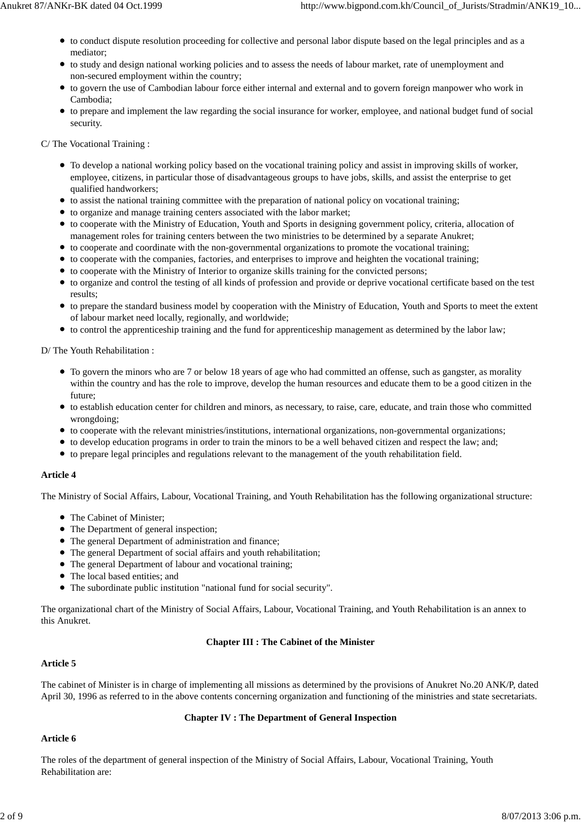- to conduct dispute resolution proceeding for collective and personal labor dispute based on the legal principles and as a mediator;
- to study and design national working policies and to assess the needs of labour market, rate of unemployment and non-secured employment within the country;
- to govern the use of Cambodian labour force either internal and external and to govern foreign manpower who work in Cambodia;
- to prepare and implement the law regarding the social insurance for worker, employee, and national budget fund of social security.

C/ The Vocational Training :

- To develop a national working policy based on the vocational training policy and assist in improving skills of worker, employee, citizens, in particular those of disadvantageous groups to have jobs, skills, and assist the enterprise to get qualified handworkers;
- $\bullet$  to assist the national training committee with the preparation of national policy on vocational training;
- to organize and manage training centers associated with the labor market;
- to cooperate with the Ministry of Education, Youth and Sports in designing government policy, criteria, allocation of management roles for training centers between the two ministries to be determined by a separate Anukret;
- to cooperate and coordinate with the non-governmental organizations to promote the vocational training;
- to cooperate with the companies, factories, and enterprises to improve and heighten the vocational training;
- to cooperate with the Ministry of Interior to organize skills training for the convicted persons;
- to organize and control the testing of all kinds of profession and provide or deprive vocational certificate based on the test results;
- to prepare the standard business model by cooperation with the Ministry of Education, Youth and Sports to meet the extent of labour market need locally, regionally, and worldwide;
- to control the apprenticeship training and the fund for apprenticeship management as determined by the labor law;

D/ The Youth Rehabilitation :

- To govern the minors who are 7 or below 18 years of age who had committed an offense, such as gangster, as morality within the country and has the role to improve, develop the human resources and educate them to be a good citizen in the future;
- to establish education center for children and minors, as necessary, to raise, care, educate, and train those who committed wrongdoing;
- to cooperate with the relevant ministries/institutions, international organizations, non-governmental organizations;
- to develop education programs in order to train the minors to be a well behaved citizen and respect the law; and;
- to prepare legal principles and regulations relevant to the management of the youth rehabilitation field.

# **Article 4**

The Ministry of Social Affairs, Labour, Vocational Training, and Youth Rehabilitation has the following organizational structure:

- The Cabinet of Minister;
- The Department of general inspection;
- The general Department of administration and finance;
- The general Department of social affairs and youth rehabilitation;
- The general Department of labour and vocational training;
- The local based entities; and
- The subordinate public institution "national fund for social security".

The organizational chart of the Ministry of Social Affairs, Labour, Vocational Training, and Youth Rehabilitation is an annex to this Anukret.

# **Chapter III : The Cabinet of the Minister**

# **Article 5**

The cabinet of Minister is in charge of implementing all missions as determined by the provisions of Anukret No.20 ANK/P, dated April 30, 1996 as referred to in the above contents concerning organization and functioning of the ministries and state secretariats.

# **Chapter IV : The Department of General Inspection**

# **Article 6**

The roles of the department of general inspection of the Ministry of Social Affairs, Labour, Vocational Training, Youth Rehabilitation are: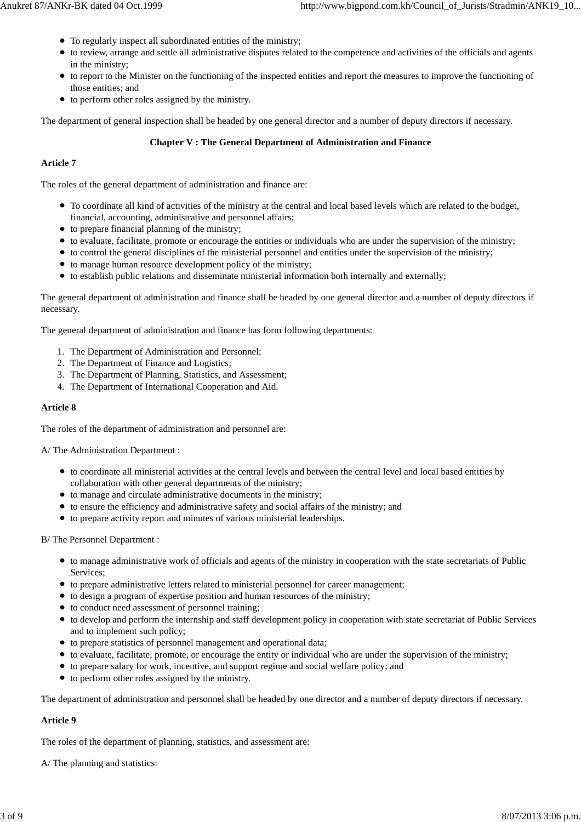- To regularly inspect all subordinated entities of the ministry;
- to review, arrange and settle all administrative disputes related to the competence and activities of the officials and agents in the ministry;
- to report to the Minister on the functioning of the inspected entities and report the measures to improve the functioning of those entities; and
- $\bullet$  to perform other roles assigned by the ministry.

The department of general inspection shall be headed by one general director and a number of deputy directors if necessary.

# **Chapter V : The General Department of Administration and Finance**

# **Article 7**

The roles of the general department of administration and finance are:

- To coordinate all kind of activities of the ministry at the central and local based levels which are related to the budget, financial, accounting, administrative and personnel affairs;
- $\bullet$  to prepare financial planning of the ministry;
- to evaluate, facilitate, promote or encourage the entities or individuals who are under the supervision of the ministry;
- to control the general disciplines of the ministerial personnel and entities under the supervision of the ministry;
- to manage human resource development policy of the ministry;
- to establish public relations and disseminate ministerial information both internally and externally;

The general department of administration and finance shall be headed by one general director and a number of deputy directors if necessary.

The general department of administration and finance has form following departments:

- 1. The Department of Administration and Personnel;
- 2. The Department of Finance and Logistics;
- 3. The Department of Planning, Statistics, and Assessment;
- 4. The Department of International Cooperation and Aid.

# **Article 8**

The roles of the department of administration and personnel are:

A/ The Administration Department :

- to coordinate all ministerial activities at the central levels and between the central level and local based entities by collaboration with other general departments of the ministry;
- to manage and circulate administrative documents in the ministry;
- to ensure the efficiency and administrative safety and social affairs of the ministry; and
- to prepare activity report and minutes of various ministerial leaderships.

B/ The Personnel Department :

- to manage administrative work of officials and agents of the ministry in cooperation with the state secretariats of Public Services;
- to prepare administrative letters related to ministerial personnel for career management;
- to design a program of expertise position and human resources of the ministry;
- $\bullet$  to conduct need assessment of personnel training;
- to develop and perform the internship and staff development policy in cooperation with state secretariat of Public Services and to implement such policy;
- to prepare statistics of personnel management and operational data;
- to evaluate, facilitate, promote, or encourage the entity or individual who are under the supervision of the ministry;
- to prepare salary for work, incentive, and support regime and social welfare policy; and
- to perform other roles assigned by the ministry.

The department of administration and personnel shall be headed by one director and a number of deputy directors if necessary.

# **Article 9**

The roles of the department of planning, statistics, and assessment are:

A/ The planning and statistics: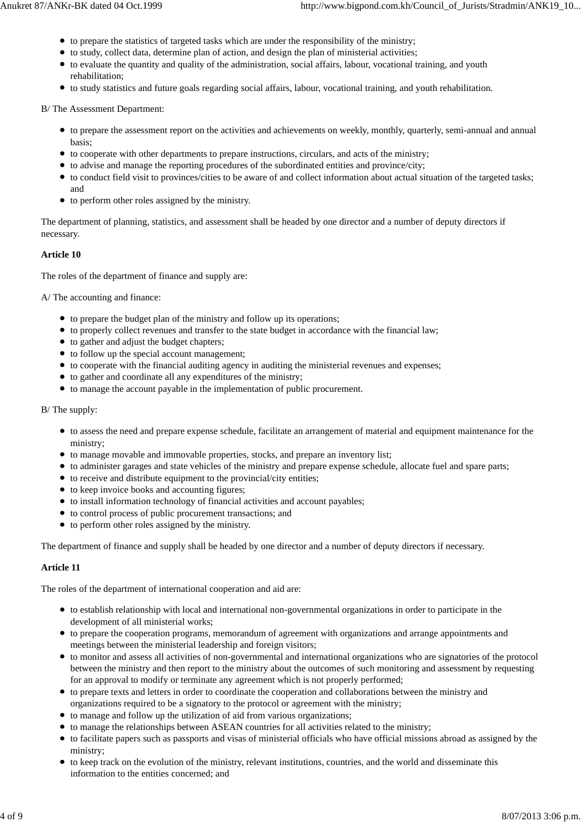- $\bullet$  to prepare the statistics of targeted tasks which are under the responsibility of the ministry;
- to study, collect data, determine plan of action, and design the plan of ministerial activities;
- to evaluate the quantity and quality of the administration, social affairs, labour, vocational training, and youth rehabilitation;
- to study statistics and future goals regarding social affairs, labour, vocational training, and youth rehabilitation.

B/ The Assessment Department:

- to prepare the assessment report on the activities and achievements on weekly, monthly, quarterly, semi-annual and annual basis;
- to cooperate with other departments to prepare instructions, circulars, and acts of the ministry;
- to advise and manage the reporting procedures of the subordinated entities and province/city;
- to conduct field visit to provinces/cities to be aware of and collect information about actual situation of the targeted tasks; and
- to perform other roles assigned by the ministry.

The department of planning, statistics, and assessment shall be headed by one director and a number of deputy directors if necessary.

# **Article 10**

The roles of the department of finance and supply are:

A/ The accounting and finance:

- to prepare the budget plan of the ministry and follow up its operations;
- to properly collect revenues and transfer to the state budget in accordance with the financial law;
- to gather and adjust the budget chapters;
- to follow up the special account management;
- to cooperate with the financial auditing agency in auditing the ministerial revenues and expenses;
- to gather and coordinate all any expenditures of the ministry;
- to manage the account payable in the implementation of public procurement.

#### B/ The supply:

- to assess the need and prepare expense schedule, facilitate an arrangement of material and equipment maintenance for the ministry;
- to manage movable and immovable properties, stocks, and prepare an inventory list;
- to administer garages and state vehicles of the ministry and prepare expense schedule, allocate fuel and spare parts;
- $\bullet$  to receive and distribute equipment to the provincial/city entities;
- to keep invoice books and accounting figures;
- to install information technology of financial activities and account payables;
- to control process of public procurement transactions; and
- to perform other roles assigned by the ministry.

The department of finance and supply shall be headed by one director and a number of deputy directors if necessary.

# **Article 11**

The roles of the department of international cooperation and aid are:

- to establish relationship with local and international non-governmental organizations in order to participate in the development of all ministerial works;
- to prepare the cooperation programs, memorandum of agreement with organizations and arrange appointments and meetings between the ministerial leadership and foreign visitors;
- to monitor and assess all activities of non-governmental and international organizations who are signatories of the protocol between the ministry and then report to the ministry about the outcomes of such monitoring and assessment by requesting for an approval to modify or terminate any agreement which is not properly performed;
- to prepare texts and letters in order to coordinate the cooperation and collaborations between the ministry and organizations required to be a signatory to the protocol or agreement with the ministry;
- to manage and follow up the utilization of aid from various organizations;
- to manage the relationships between ASEAN countries for all activities related to the ministry;
- to facilitate papers such as passports and visas of ministerial officials who have official missions abroad as assigned by the ministry;
- to keep track on the evolution of the ministry, relevant institutions, countries, and the world and disseminate this information to the entities concerned; and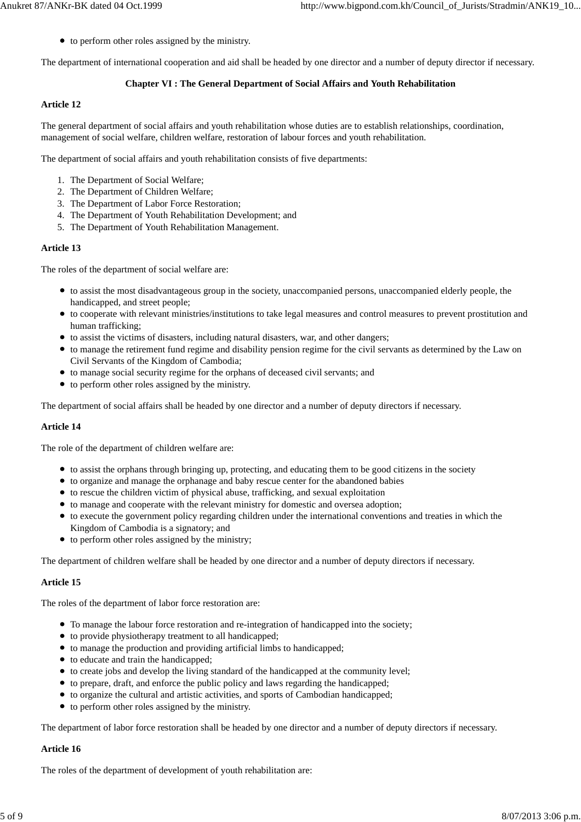• to perform other roles assigned by the ministry.

The department of international cooperation and aid shall be headed by one director and a number of deputy director if necessary.

### **Chapter VI : The General Department of Social Affairs and Youth Rehabilitation**

### **Article 12**

The general department of social affairs and youth rehabilitation whose duties are to establish relationships, coordination, management of social welfare, children welfare, restoration of labour forces and youth rehabilitation.

The department of social affairs and youth rehabilitation consists of five departments:

- 1. The Department of Social Welfare;
- 2. The Department of Children Welfare;
- 3. The Department of Labor Force Restoration;
- 4. The Department of Youth Rehabilitation Development; and
- 5. The Department of Youth Rehabilitation Management.

### **Article 13**

The roles of the department of social welfare are:

- to assist the most disadvantageous group in the society, unaccompanied persons, unaccompanied elderly people, the handicapped, and street people;
- to cooperate with relevant ministries/institutions to take legal measures and control measures to prevent prostitution and human trafficking;
- to assist the victims of disasters, including natural disasters, war, and other dangers;
- to manage the retirement fund regime and disability pension regime for the civil servants as determined by the Law on Civil Servants of the Kingdom of Cambodia;
- to manage social security regime for the orphans of deceased civil servants; and
- to perform other roles assigned by the ministry.

The department of social affairs shall be headed by one director and a number of deputy directors if necessary.

#### **Article 14**

The role of the department of children welfare are:

- to assist the orphans through bringing up, protecting, and educating them to be good citizens in the society
- to organize and manage the orphanage and baby rescue center for the abandoned babies
- $\bullet$  to rescue the children victim of physical abuse, trafficking, and sexual exploitation
- to manage and cooperate with the relevant ministry for domestic and oversea adoption;
- to execute the government policy regarding children under the international conventions and treaties in which the Kingdom of Cambodia is a signatory; and
- $\bullet$  to perform other roles assigned by the ministry;

The department of children welfare shall be headed by one director and a number of deputy directors if necessary.

#### **Article 15**

The roles of the department of labor force restoration are:

- To manage the labour force restoration and re-integration of handicapped into the society;
- $\bullet$  to provide physiotherapy treatment to all handicapped;
- to manage the production and providing artificial limbs to handicapped;
- to educate and train the handicapped;
- to create jobs and develop the living standard of the handicapped at the community level;
- to prepare, draft, and enforce the public policy and laws regarding the handicapped;
- to organize the cultural and artistic activities, and sports of Cambodian handicapped;
- to perform other roles assigned by the ministry.

The department of labor force restoration shall be headed by one director and a number of deputy directors if necessary.

#### **Article 16**

The roles of the department of development of youth rehabilitation are: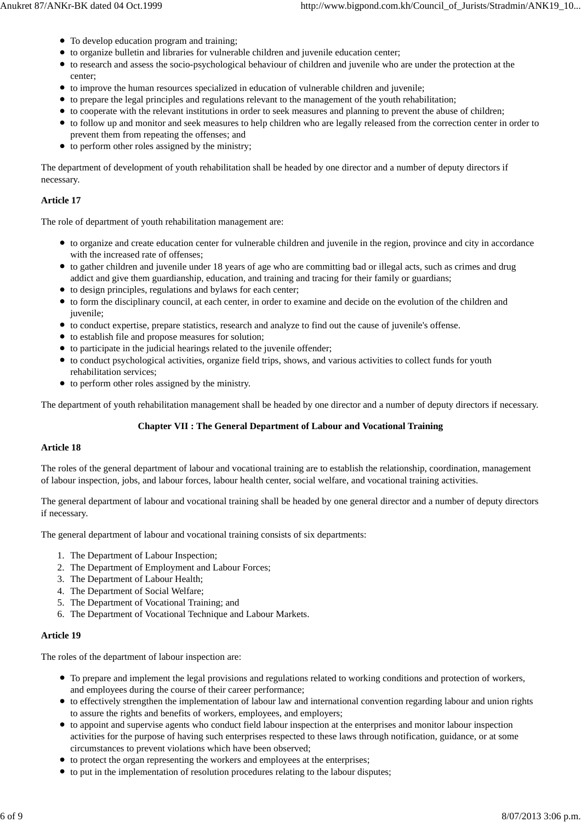- To develop education program and training;
- to organize bulletin and libraries for vulnerable children and juvenile education center;
- to research and assess the socio-psychological behaviour of children and juvenile who are under the protection at the center;
- to improve the human resources specialized in education of vulnerable children and juvenile;
- to prepare the legal principles and regulations relevant to the management of the youth rehabilitation;
- to cooperate with the relevant institutions in order to seek measures and planning to prevent the abuse of children;
- to follow up and monitor and seek measures to help children who are legally released from the correction center in order to prevent them from repeating the offenses; and
- $\bullet$  to perform other roles assigned by the ministry;

The department of development of youth rehabilitation shall be headed by one director and a number of deputy directors if necessary.

# **Article 17**

The role of department of youth rehabilitation management are:

- to organize and create education center for vulnerable children and juvenile in the region, province and city in accordance with the increased rate of offenses:
- to gather children and juvenile under 18 years of age who are committing bad or illegal acts, such as crimes and drug addict and give them guardianship, education, and training and tracing for their family or guardians;
- to design principles, regulations and bylaws for each center;
- to form the disciplinary council, at each center, in order to examine and decide on the evolution of the children and juvenile;
- to conduct expertise, prepare statistics, research and analyze to find out the cause of juvenile's offense.
- $\bullet$  to establish file and propose measures for solution;
- to participate in the judicial hearings related to the juvenile offender;
- to conduct psychological activities, organize field trips, shows, and various activities to collect funds for youth rehabilitation services;
- $\bullet$  to perform other roles assigned by the ministry.

The department of youth rehabilitation management shall be headed by one director and a number of deputy directors if necessary.

# **Chapter VII : The General Department of Labour and Vocational Training**

# **Article 18**

The roles of the general department of labour and vocational training are to establish the relationship, coordination, management of labour inspection, jobs, and labour forces, labour health center, social welfare, and vocational training activities.

The general department of labour and vocational training shall be headed by one general director and a number of deputy directors if necessary.

The general department of labour and vocational training consists of six departments:

- 1. The Department of Labour Inspection;
- 2. The Department of Employment and Labour Forces;
- 3. The Department of Labour Health;
- 4. The Department of Social Welfare;
- 5. The Department of Vocational Training; and
- 6. The Department of Vocational Technique and Labour Markets.

# **Article 19**

The roles of the department of labour inspection are:

- To prepare and implement the legal provisions and regulations related to working conditions and protection of workers, and employees during the course of their career performance;
- to effectively strengthen the implementation of labour law and international convention regarding labour and union rights to assure the rights and benefits of workers, employees, and employers;
- to appoint and supervise agents who conduct field labour inspection at the enterprises and monitor labour inspection activities for the purpose of having such enterprises respected to these laws through notification, guidance, or at some circumstances to prevent violations which have been observed;
- to protect the organ representing the workers and employees at the enterprises;
- to put in the implementation of resolution procedures relating to the labour disputes;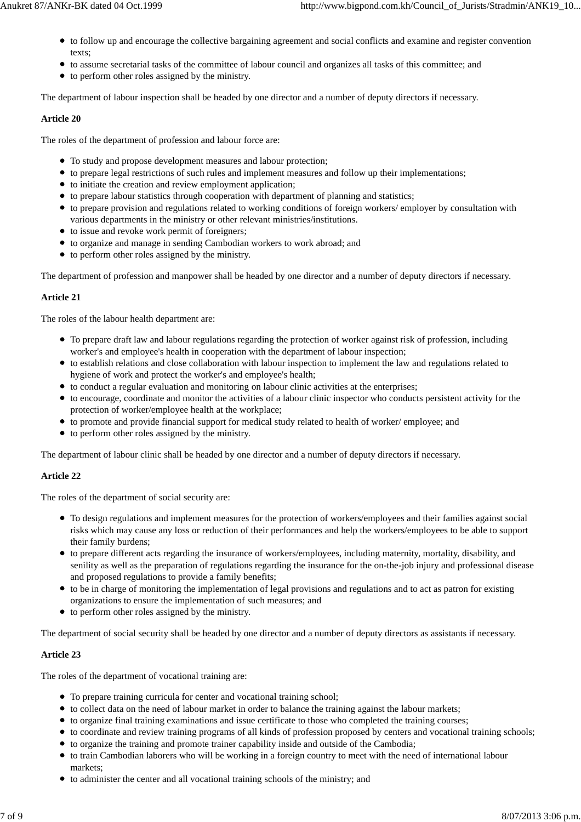- to follow up and encourage the collective bargaining agreement and social conflicts and examine and register convention texts;
- to assume secretarial tasks of the committee of labour council and organizes all tasks of this committee; and
- to perform other roles assigned by the ministry.

The department of labour inspection shall be headed by one director and a number of deputy directors if necessary.

# **Article 20**

The roles of the department of profession and labour force are:

- To study and propose development measures and labour protection;
- to prepare legal restrictions of such rules and implement measures and follow up their implementations;
- $\bullet$  to initiate the creation and review employment application;
- to prepare labour statistics through cooperation with department of planning and statistics;
- to prepare provision and regulations related to working conditions of foreign workers/ employer by consultation with various departments in the ministry or other relevant ministries/institutions.
- to issue and revoke work permit of foreigners;
- to organize and manage in sending Cambodian workers to work abroad; and
- to perform other roles assigned by the ministry.

The department of profession and manpower shall be headed by one director and a number of deputy directors if necessary.

# **Article 21**

The roles of the labour health department are:

- To prepare draft law and labour regulations regarding the protection of worker against risk of profession, including worker's and employee's health in cooperation with the department of labour inspection;
- to establish relations and close collaboration with labour inspection to implement the law and regulations related to hygiene of work and protect the worker's and employee's health;
- to conduct a regular evaluation and monitoring on labour clinic activities at the enterprises;
- to encourage, coordinate and monitor the activities of a labour clinic inspector who conducts persistent activity for the protection of worker/employee health at the workplace;
- to promote and provide financial support for medical study related to health of worker/ employee; and
- to perform other roles assigned by the ministry.

The department of labour clinic shall be headed by one director and a number of deputy directors if necessary.

# **Article 22**

The roles of the department of social security are:

- To design regulations and implement measures for the protection of workers/employees and their families against social risks which may cause any loss or reduction of their performances and help the workers/employees to be able to support their family burdens;
- to prepare different acts regarding the insurance of workers/employees, including maternity, mortality, disability, and senility as well as the preparation of regulations regarding the insurance for the on-the-job injury and professional disease and proposed regulations to provide a family benefits;
- to be in charge of monitoring the implementation of legal provisions and regulations and to act as patron for existing organizations to ensure the implementation of such measures; and
- to perform other roles assigned by the ministry.

The department of social security shall be headed by one director and a number of deputy directors as assistants if necessary.

# **Article 23**

The roles of the department of vocational training are:

- To prepare training curricula for center and vocational training school;
- to collect data on the need of labour market in order to balance the training against the labour markets;
- to organize final training examinations and issue certificate to those who completed the training courses;
- to coordinate and review training programs of all kinds of profession proposed by centers and vocational training schools;
- to organize the training and promote trainer capability inside and outside of the Cambodia;
- to train Cambodian laborers who will be working in a foreign country to meet with the need of international labour markets;
- to administer the center and all vocational training schools of the ministry; and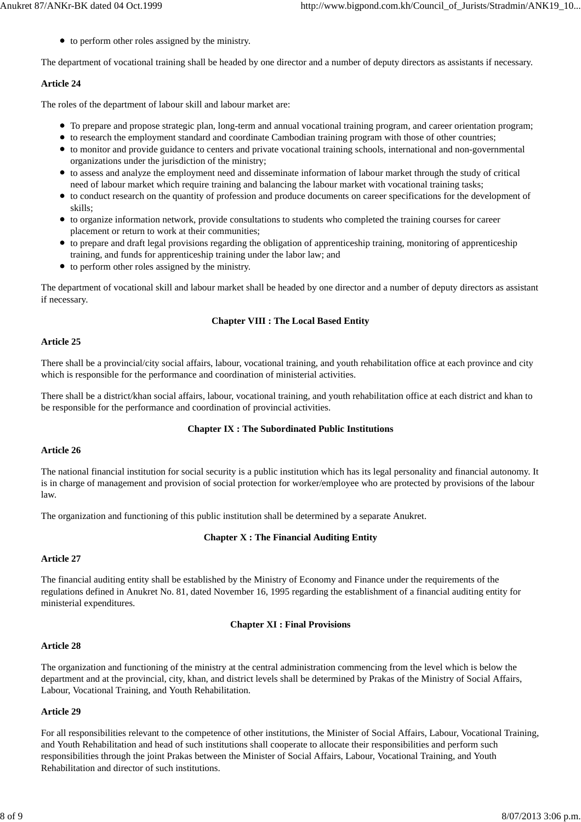• to perform other roles assigned by the ministry.

The department of vocational training shall be headed by one director and a number of deputy directors as assistants if necessary.

### **Article 24**

The roles of the department of labour skill and labour market are:

- To prepare and propose strategic plan, long-term and annual vocational training program, and career orientation program;
- to research the employment standard and coordinate Cambodian training program with those of other countries;
- to monitor and provide guidance to centers and private vocational training schools, international and non-governmental organizations under the jurisdiction of the ministry;
- to assess and analyze the employment need and disseminate information of labour market through the study of critical need of labour market which require training and balancing the labour market with vocational training tasks;
- to conduct research on the quantity of profession and produce documents on career specifications for the development of skills;
- to organize information network, provide consultations to students who completed the training courses for career placement or return to work at their communities;
- to prepare and draft legal provisions regarding the obligation of apprenticeship training, monitoring of apprenticeship training, and funds for apprenticeship training under the labor law; and
- to perform other roles assigned by the ministry.

The department of vocational skill and labour market shall be headed by one director and a number of deputy directors as assistant if necessary.

### **Chapter VIII : The Local Based Entity**

#### **Article 25**

There shall be a provincial/city social affairs, labour, vocational training, and youth rehabilitation office at each province and city which is responsible for the performance and coordination of ministerial activities.

There shall be a district/khan social affairs, labour, vocational training, and youth rehabilitation office at each district and khan to be responsible for the performance and coordination of provincial activities.

#### **Chapter IX : The Subordinated Public Institutions**

#### **Article 26**

The national financial institution for social security is a public institution which has its legal personality and financial autonomy. It is in charge of management and provision of social protection for worker/employee who are protected by provisions of the labour law.

The organization and functioning of this public institution shall be determined by a separate Anukret.

#### **Chapter X : The Financial Auditing Entity**

#### **Article 27**

The financial auditing entity shall be established by the Ministry of Economy and Finance under the requirements of the regulations defined in Anukret No. 81, dated November 16, 1995 regarding the establishment of a financial auditing entity for ministerial expenditures.

#### **Chapter XI : Final Provisions**

# **Article 28**

The organization and functioning of the ministry at the central administration commencing from the level which is below the department and at the provincial, city, khan, and district levels shall be determined by Prakas of the Ministry of Social Affairs, Labour, Vocational Training, and Youth Rehabilitation.

# **Article 29**

For all responsibilities relevant to the competence of other institutions, the Minister of Social Affairs, Labour, Vocational Training, and Youth Rehabilitation and head of such institutions shall cooperate to allocate their responsibilities and perform such responsibilities through the joint Prakas between the Minister of Social Affairs, Labour, Vocational Training, and Youth Rehabilitation and director of such institutions.